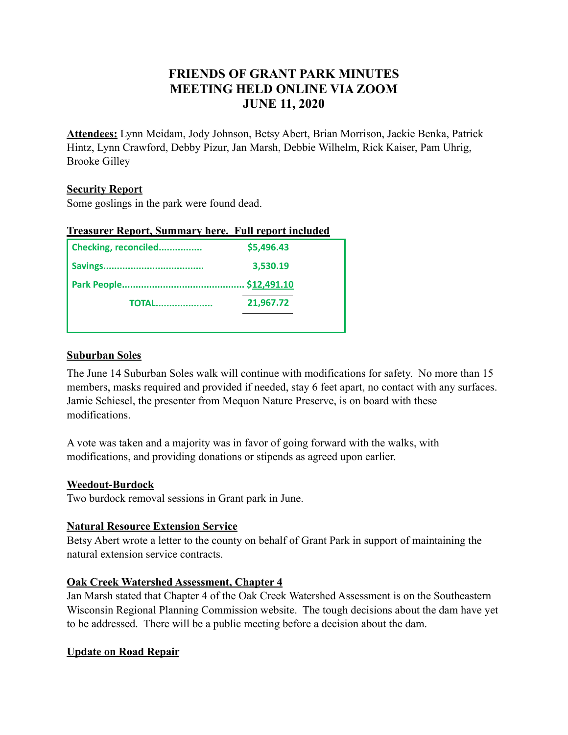# **FRIENDS OF GRANT PARK MINUTES MEETING HELD ONLINE VIA ZOOM JUNE 11, 2020**

**Attendees:** Lynn Meidam, Jody Johnson, Betsy Abert, Brian Morrison, Jackie Benka, Patrick Hintz, Lynn Crawford, Debby Pizur, Jan Marsh, Debbie Wilhelm, Rick Kaiser, Pam Uhrig, Brooke Gilley

#### **Security Report**

Some goslings in the park were found dead.

| <b>Treasurer Report, Summary here. Full report included</b> |             |
|-------------------------------------------------------------|-------------|
| Checking, reconciled                                        | \$5,496.43  |
|                                                             | 3,530.19    |
|                                                             | \$12,491.10 |
| <b>TOTAL</b>                                                | 21,967.72   |
|                                                             |             |

#### **Suburban Soles**

The June 14 Suburban Soles walk will continue with modifications for safety. No more than 15 members, masks required and provided if needed, stay 6 feet apart, no contact with any surfaces. Jamie Schiesel, the presenter from Mequon Nature Preserve, is on board with these modifications.

A vote was taken and a majority was in favor of going forward with the walks, with modifications, and providing donations or stipends as agreed upon earlier.

#### **Weedout-Burdock**

Two burdock removal sessions in Grant park in June.

#### **Natural Resource Extension Service**

Betsy Abert wrote a letter to the county on behalf of Grant Park in support of maintaining the natural extension service contracts.

#### **Oak Creek Watershed Assessment, Chapter 4**

Jan Marsh stated that Chapter 4 of the Oak Creek Watershed Assessment is on the Southeastern Wisconsin Regional Planning Commission website. The tough decisions about the dam have yet to be addressed. There will be a public meeting before a decision about the dam.

#### **Update on Road Repair**